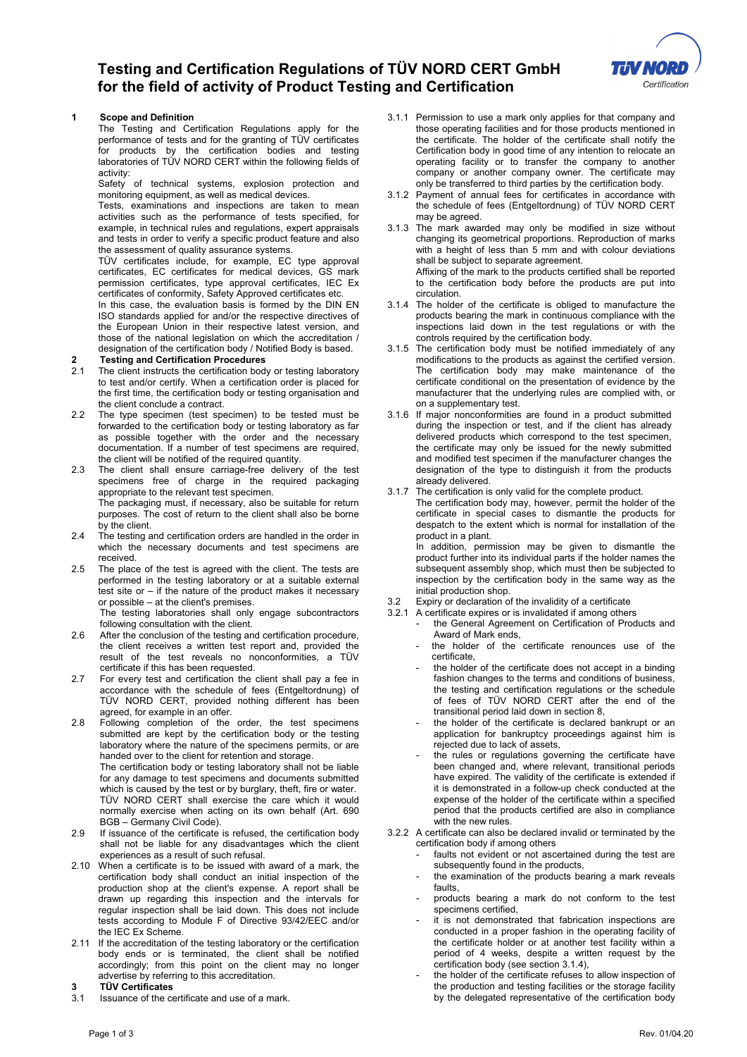### **Testing and Certification Regulations of TÜV NORD CERT GmbH for the field of activity of Product Testing and Certification**



#### **1 Scope and Definition**

The Testing and Certification Regulations apply for the performance of tests and for the granting of TÜV certificates for products by the certification bodies and testing laboratories of TÜV NORD CERT within the following fields of activity:

Safety of technical systems, explosion protection and monitoring equipment, as well as medical devices.

Tests, examinations and inspections are taken to mean activities such as the performance of tests specified, for example, in technical rules and regulations, expert appraisals and tests in order to verify a specific product feature and also the assessment of quality assurance systems.

TÜV certificates include, for example, EC type approval certificates, EC certificates for medical devices, GS mark permission certificates, type approval certificates, IEC Ex certificates of conformity, Safety Approved certificates etc.

In this case, the evaluation basis is formed by the DIN EN ISO standards applied for and/or the respective directives of the European Union in their respective latest version, and those of the national legislation on which the accreditation / designation of the certification body / Notified Body is based.

## **2 Testing and Certification Procedures**

- The client instructs the certification body or testing laboratory to test and/or certify. When a certification order is placed for the first time, the certification body or testing organisation and the client conclude a contract.
- 2.2 The type specimen (test specimen) to be tested must be forwarded to the certification body or testing laboratory as far as possible together with the order and the necessary documentation. If a number of test specimens are required, the client will be notified of the required quantity.
- 2.3 The client shall ensure carriage-free delivery of the test specimens free of charge in the required packaging appropriate to the relevant test specimen. The packaging must, if necessary, also be suitable for return purposes. The cost of return to the client shall also be borne by the client.
- 2.4 The testing and certification orders are handled in the order in which the necessary documents and test specimens are received.
- 2.5 The place of the test is agreed with the client. The tests are performed in the testing laboratory or at a suitable external test site or – if the nature of the product makes it necessary or possible – at the client's premises.

The testing laboratories shall only engage subcontractors following consultation with the client.

- 2.6 After the conclusion of the testing and certification procedure, the client receives a written test report and, provided the result of the test reveals no nonconformities, a TÜV certificate if this has been requested.
- 2.7 For every test and certification the client shall pay a fee in accordance with the schedule of fees (Entgeltordnung) of TÜV NORD CERT, provided nothing different has been agreed, for example in an offer.
- 2.8 Following completion of the order, the test specimens submitted are kept by the certification body or the testing laboratory where the nature of the specimens permits, or are handed over to the client for retention and storage.

The certification body or testing laboratory shall not be liable for any damage to test specimens and documents submitted which is caused by the test or by burglary, theft, fire or water. TÜV NORD CERT shall exercise the care which it would normally exercise when acting on its own behalf (Art. 690 BGB – Germany Civil Code).

- 2.9 If issuance of the certificate is refused, the certification body shall not be liable for any disadvantages which the client experiences as a result of such refusal.
- 2.10 When a certificate is to be issued with award of a mark, the certification body shall conduct an initial inspection of the production shop at the client's expense. A report shall be drawn up regarding this inspection and the intervals for regular inspection shall be laid down. This does not include tests according to Module F of Directive 93/42/EEC and/or the IEC Ex Scheme.
- 2.11 If the accreditation of the testing laboratory or the certification body ends or is terminated, the client shall be notified accordingly; from this point on the client may no longer advertise by referring to this accreditation.

## **3 TÜV Certificates**

Issuance of the certificate and use of a mark.

- 3.1.1 Permission to use a mark only applies for that company and those operating facilities and for those products mentioned in the certificate. The holder of the certificate shall notify the Certification body in good time of any intention to relocate an operating facility or to transfer the company to another company or another company owner. The certificate may only be transferred to third parties by the certification body.
- 3.1.2 Payment of annual fees for certificates in accordance with the schedule of fees (Entgeltordnung) of TÜV NORD CERT may be agreed.
- 3.1.3 The mark awarded may only be modified in size without changing its geometrical proportions. Reproduction of marks with a height of less than 5 mm and with colour deviations shall be subject to separate agreement. Affixing of the mark to the products certified shall be reported to the certification body before the products are put into circulation.
- 3.1.4 The holder of the certificate is obliged to manufacture the products bearing the mark in continuous compliance with the inspections laid down in the test regulations or with the controls required by the certification body.
- 3.1.5 The certification body must be notified immediately of any modifications to the products as against the certified version. The certification body may make maintenance of the certificate conditional on the presentation of evidence by the manufacturer that the underlying rules are complied with, or on a supplementary test.
- 3.1.6 If major nonconformities are found in a product submitted during the inspection or test, and if the client has already delivered products which correspond to the test specimen, the certificate may only be issued for the newly submitted and modified test specimen if the manufacturer changes the designation of the type to distinguish it from the products already delivered.
- 3.1.7 The certification is only valid for the complete product.

The certification body may, however, permit the holder of the certificate in special cases to dismantle the products for despatch to the extent which is normal for installation of the product in a plant.

In addition, permission may be given to dismantle the product further into its individual parts if the holder names the subsequent assembly shop, which must then be subjected to inspection by the certification body in the same way as the initial production shop.

- 3.2 Expiry or declaration of the invalidity of a certificate
- 3.2.1 A certificate expires or is invalidated if among others the General Agreement on Certification of Products and Award of Mark ends,
	- the holder of the certificate renounces use of the certificate,
	- the holder of the certificate does not accept in a binding fashion changes to the terms and conditions of business, the testing and certification regulations or the schedule of fees of TÜV NORD CERT after the end of the transitional period laid down in section 8,
	- the holder of the certificate is declared bankrupt or an application for bankruptcy proceedings against him is rejected due to lack of assets,
	- the rules or regulations governing the certificate have been changed and, where relevant, transitional periods have expired. The validity of the certificate is extended if it is demonstrated in a follow-up check conducted at the expense of the holder of the certificate within a specified period that the products certified are also in compliance with the new rules.
- 3.2.2 A certificate can also be declared invalid or terminated by the certification body if among others
	- faults not evident or not ascertained during the test are subsequently found in the products,
	- the examination of the products bearing a mark reveals faults,
	- products bearing a mark do not conform to the test specimens certified,
	- it is not demonstrated that fabrication inspections are conducted in a proper fashion in the operating facility of the certificate holder or at another test facility within a period of 4 weeks, despite a written request by the certification body (see section 3.1.4),
	- the holder of the certificate refuses to allow inspection of the production and testing facilities or the storage facility by the delegated representative of the certification body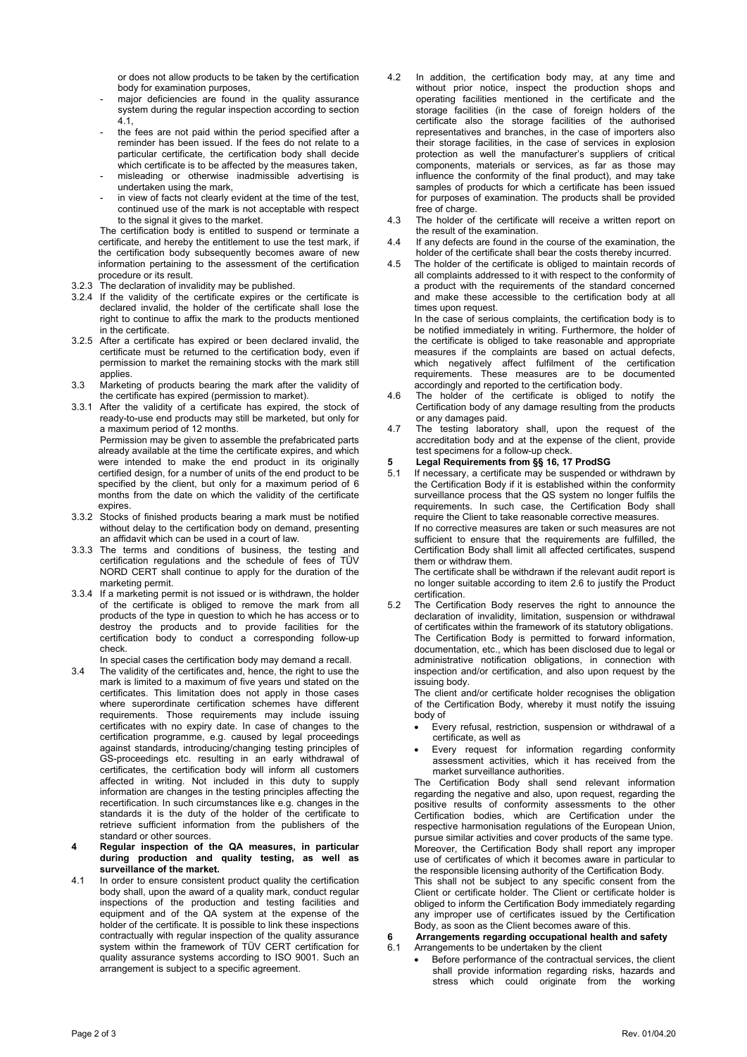or does not allow products to be taken by the certification body for examination purposes,

- major deficiencies are found in the quality assurance system during the regular inspection according to section 4.1,
- the fees are not paid within the period specified after a reminder has been issued. If the fees do not relate to a particular certificate, the certification body shall decide which certificate is to be affected by the measures taken, misleading or otherwise inadmissible advertising is
- undertaken using the mark,
- in view of facts not clearly evident at the time of the test, continued use of the mark is not acceptable with respect to the signal it gives to the market.

The certification body is entitled to suspend or terminate a certificate, and hereby the entitlement to use the test mark, if the certification body subsequently becomes aware of new information pertaining to the assessment of the certification procedure or its result.

- 3.2.3 The declaration of invalidity may be published.
- 3.2.4 If the validity of the certificate expires or the certificate is declared invalid, the holder of the certificate shall lose the right to continue to affix the mark to the products mentioned in the certificate.
- 3.2.5 After a certificate has expired or been declared invalid, the certificate must be returned to the certification body, even if permission to market the remaining stocks with the mark still applies.
- 3.3 Marketing of products bearing the mark after the validity of the certificate has expired (permission to market).
- 3.3.1 After the validity of a certificate has expired, the stock of ready-to-use end products may still be marketed, but only for a maximum period of 12 months.

Permission may be given to assemble the prefabricated parts already available at the time the certificate expires, and which were intended to make the end product in its originally certified design, for a number of units of the end product to be specified by the client, but only for a maximum period of 6 months from the date on which the validity of the certificate expires.

- 3.3.2 Stocks of finished products bearing a mark must be notified without delay to the certification body on demand, presenting an affidavit which can be used in a court of law.
- 3.3.3 The terms and conditions of business, the testing and certification regulations and the schedule of fees of TÜV NORD CERT shall continue to apply for the duration of the marketing permit.
- 3.3.4 If a marketing permit is not issued or is withdrawn, the holder of the certificate is obliged to remove the mark from all products of the type in question to which he has access or to destroy the products and to provide facilities for the certification body to conduct a corresponding follow-up check.

In special cases the certification body may demand a recall.

- 3.4 The validity of the certificates and, hence, the right to use the mark is limited to a maximum of five years und stated on the certificates. This limitation does not apply in those cases where superordinate certification schemes have different requirements. Those requirements may include issuing certificates with no expiry date. In case of changes to the certification programme, e.g. caused by legal proceedings against standards, introducing/changing testing principles of GS-proceedings etc. resulting in an early withdrawal of certificates, the certification body will inform all customers affected in writing. Not included in this duty to supply information are changes in the testing principles affecting the recertification. In such circumstances like e.g. changes in the standards it is the duty of the holder of the certificate to retrieve sufficient information from the publishers of the standard or other sources.
- **4 Regular inspection of the QA measures, in particular during production and quality testing, as well as surveillance of the market.**
- 4.1 In order to ensure consistent product quality the certification body shall, upon the award of a quality mark, conduct regular inspections of the production and testing facilities and equipment and of the QA system at the expense of the holder of the certificate. It is possible to link these inspections contractually with regular inspection of the quality assurance system within the framework of TÜV CERT certification for quality assurance systems according to ISO 9001. Such an arrangement is subject to a specific agreement.
- 4.2 In addition, the certification body may, at any time and without prior notice, inspect the production shops and operating facilities mentioned in the certificate and the storage facilities (in the case of foreign holders of the certificate also the storage facilities of the authorised representatives and branches, in the case of importers also their storage facilities, in the case of services in explosion protection as well the manufacturer's suppliers of critical components, materials or services, as far as those may influence the conformity of the final product), and may take samples of products for which a certificate has been issued for purposes of examination. The products shall be provided free of charge.
- 4.3 The holder of the certificate will receive a written report on the result of the examination.
- 4.4 If any defects are found in the course of the examination, the holder of the certificate shall bear the costs thereby incurred.
- 4.5 The holder of the certificate is obliged to maintain records of all complaints addressed to it with respect to the conformity of a product with the requirements of the standard concerned and make these accessible to the certification body at all times upon request.

In the case of serious complaints, the certification body is to be notified immediately in writing. Furthermore, the holder of the certificate is obliged to take reasonable and appropriate measures if the complaints are based on actual defects, which negatively affect fulfilment of the certification requirements. These measures are to be documented accordingly and reported to the certification body.

- 4.6 The holder of the certificate is obliged to notify the Certification body of any damage resulting from the products or any damages paid.
- 4.7 The testing laboratory shall, upon the request of the accreditation body and at the expense of the client, provide test specimens for a follow-up check.

# **5 Legal Requirements from §§ 16, 17 ProdSG**

If necessary, a certificate may be suspended or withdrawn by the Certification Body if it is established within the conformity surveillance process that the QS system no longer fulfils the requirements. In such case, the Certification Body shall require the Client to take reasonable corrective measures. If no corrective measures are taken or such measures are not sufficient to ensure that the requirements are fulfilled, the Certification Body shall limit all affected certificates, suspend them or withdraw them. The certificate shall be withdrawn if the relevant audit report is

no longer suitable according to item 2.6 to justify the Product certification. 5.2 The Certification Body reserves the right to announce the

declaration of invalidity, limitation, suspension or withdrawal of certificates within the framework of its statutory obligations. The Certification Body is permitted to forward information, documentation, etc., which has been disclosed due to legal or administrative notification obligations, in connection with inspection and/or certification, and also upon request by the issuing body.

The client and/or certificate holder recognises the obligation of the Certification Body, whereby it must notify the issuing body of

- Every refusal, restriction, suspension or withdrawal of a certificate, as well as
- Every request for information regarding conformity assessment activities, which it has received from the market surveillance authorities.

The Certification Body shall send relevant information regarding the negative and also, upon request, regarding the positive results of conformity assessments to the other Certification bodies, which are Certification under the respective harmonisation regulations of the European Union, pursue similar activities and cover products of the same type. Moreover, the Certification Body shall report any improper use of certificates of which it becomes aware in particular to the responsible licensing authority of the Certification Body. This shall not be subject to any specific consent from the Client or certificate holder. The Client or certificate holder is obliged to inform the Certification Body immediately regarding any improper use of certificates issued by the Certification Body, as soon as the Client becomes aware of this.

## **6 Arrangements regarding occupational health and safety**

- Arrangements to be undertaken by the client
	- Before performance of the contractual services, the client shall provide information regarding risks, hazards and stress which could originate from the working